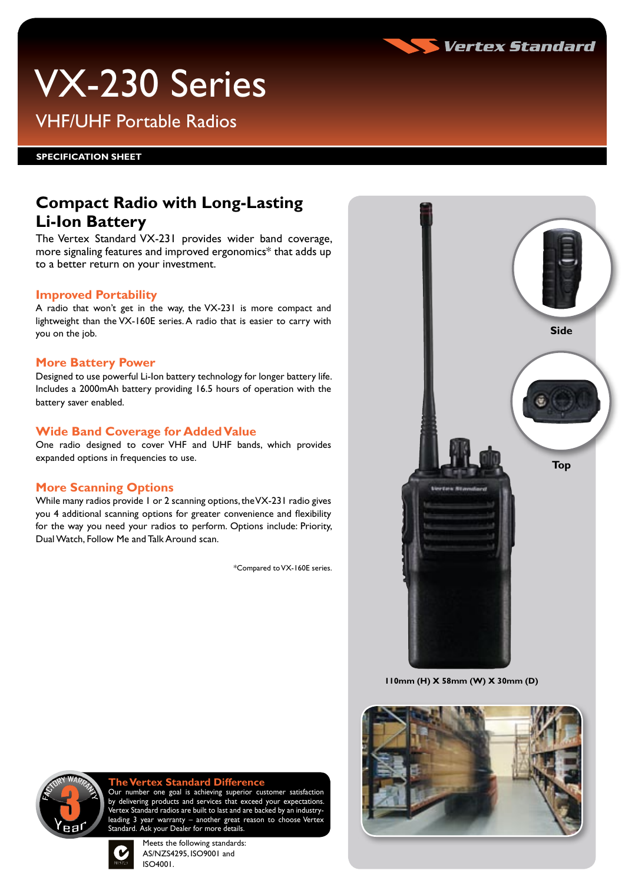

# VX-230 Series

VHF/UHF Portable Radios

**SPECIFICATION Sheet**

### **Compact Radio with Long-Lasting Li-Ion Battery**

The Vertex Standard VX-231 provides wider band coverage, more signaling features and improved ergonomics\* that adds up to a better return on your investment.

#### **Improved Portability**

A radio that won't get in the way, the VX-231 is more compact and lightweight than the VX-160E series. A radio that is easier to carry with you on the job.

### **More Battery Power**

Designed to use powerful Li-Ion battery technology for longer battery life. Includes a 2000mAh battery providing 16.5 hours of operation with the battery saver enabled.

### **Wide Band Coverage for Added Value**

One radio designed to cover VHF and UHF bands, which provides expanded options in frequencies to use.

### **More Scanning Options**

While many radios provide 1 or 2 scanning options, the VX-231 radio gives you 4 additional scanning options for greater convenience and flexibility for the way you need your radios to perform. Options include: Priority, Dual Watch, Follow Me and Talk Around scan.

\*Compared to VX-160E series.



**110mm (H) X 58mm (W) X 30mm (D)**





### **The Vertex Standard Difference**<br>Our number one goal is achieving superior cu

number one goal is achieving superior customer satisfaction by delivering products and services that exceed your expectations. ,<br>Vertex Standard radios are built to last and are backed by an industryleading 3 year warranty – another great reason to choose Vertex Standard. Ask your Dealer for more details.



Meets the following standards: AS/NZS4295, ISO9001 and ISO4001.